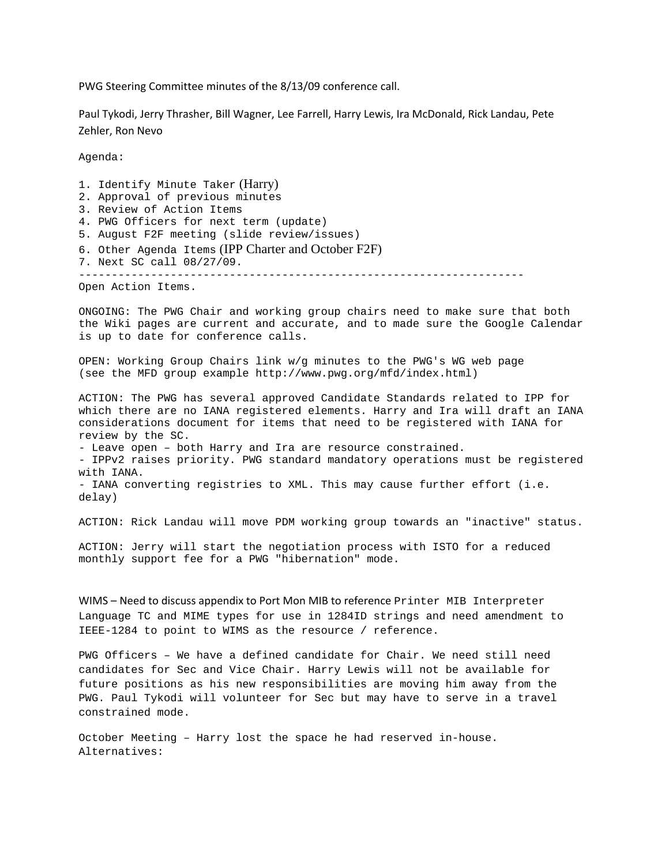PWG Steering Committee minutes of the 8/13/09 conference call.

Paul Tykodi, Jerry Thrasher, Bill Wagner, Lee Farrell, Harry Lewis, Ira McDonald, Rick Landau, Pete Zehler, Ron Nevo

Agenda:

1. Identify Minute Taker (Harry) 2. Approval of previous minutes 3. Review of Action Items 4. PWG Officers for next term (update) 5. August F2F meeting (slide review/issues) 6. Other Agenda Items (IPP Charter and October F2F) 7. Next SC call 08/27/09.

--------------------------------------------------------------------

Open Action Items.

ONGOING: The PWG Chair and working group chairs need to make sure that both the Wiki pages are current and accurate, and to made sure the Google Calendar is up to date for conference calls.

OPEN: Working Group Chairs link w/g minutes to the PWG's WG web page (see the MFD group example http://www.pwg.org/mfd/index.html)

ACTION: The PWG has several approved Candidate Standards related to IPP for which there are no IANA registered elements. Harry and Ira will draft an IANA considerations document for items that need to be registered with IANA for review by the SC.

- Leave open – both Harry and Ira are resource constrained.

- IPPv2 raises priority. PWG standard mandatory operations must be registered with IANA.

- IANA converting registries to XML. This may cause further effort (i.e. delay)

ACTION: Rick Landau will move PDM working group towards an "inactive" status.

ACTION: Jerry will start the negotiation process with ISTO for a reduced monthly support fee for a PWG "hibernation" mode.

WIMS – Need to discuss appendix to Port Mon MIB to reference Printer MIB Interpreter Language TC and MIME types for use in 1284ID strings and need amendment to IEEE-1284 to point to WIMS as the resource / reference.

PWG Officers – We have a defined candidate for Chair. We need still need candidates for Sec and Vice Chair. Harry Lewis will not be available for future positions as his new responsibilities are moving him away from the PWG. Paul Tykodi will volunteer for Sec but may have to serve in a travel constrained mode.

October Meeting – Harry lost the space he had reserved in-house. Alternatives: